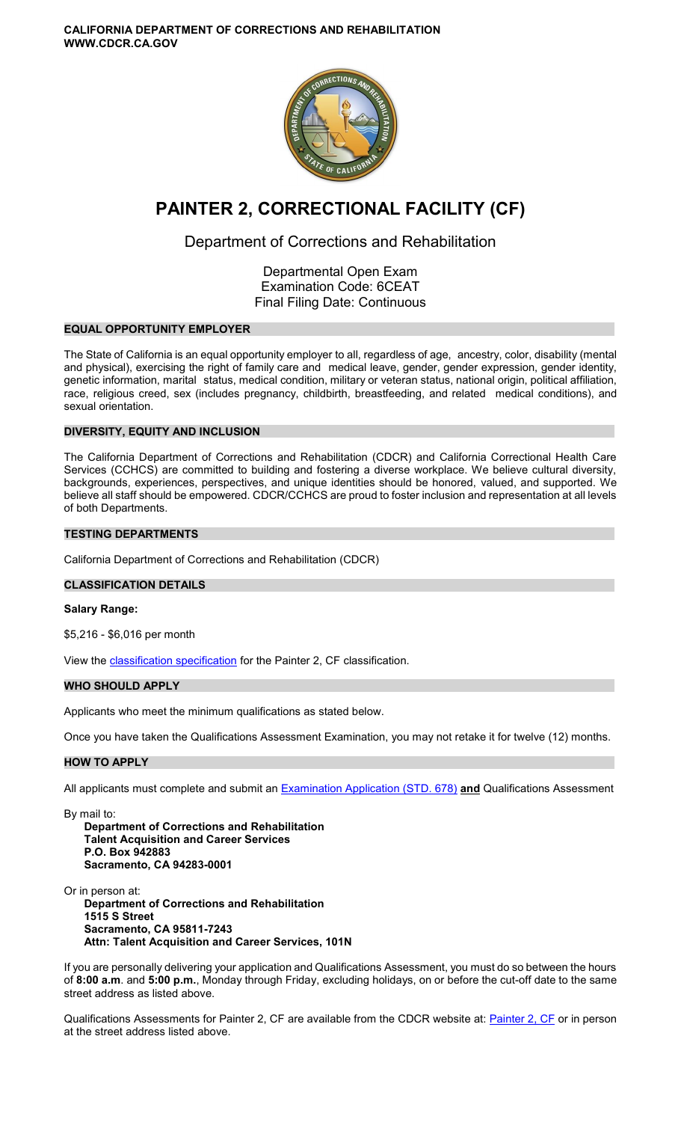**CALIFORNIA DEPARTMENT OF CORRECTIONS AND REHABILITATION WWW.CDCR.CA.GOV** 



# **PAINTER 2, CORRECTIONAL FACILITY (CF)**

# Department of Corrections and Rehabilitation

Departmental Open Exam Examination Code: 6CEAT Final Filing Date: Continuous

# **EQUAL OPPORTUNITY EMPLOYER**

The State of California is an equal opportunity employer to all, regardless of age, ancestry, color, disability (mental and physical), exercising the right of family care and medical leave, gender, gender expression, gender identity, genetic information, marital status, medical condition, military or veteran status, national origin, political affiliation, race, religious creed, sex (includes pregnancy, childbirth, breastfeeding, and related medical conditions), and sexual orientation.

# **DIVERSITY, EQUITY AND INCLUSION**

The California Department of Corrections and Rehabilitation (CDCR) and California Correctional Health Care Services (CCHCS) are committed to building and fostering a diverse workplace. We believe cultural diversity, backgrounds, experiences, perspectives, and unique identities should be honored, valued, and supported. We believe all staff should be empowered. CDCR/CCHCS are proud to foster inclusion and representation at all levels of both Departments.

# **TESTING DEPARTMENTS**

California Department of Corrections and Rehabilitation (CDCR)

# **CLASSIFICATION DETAILS**

#### **Salary Range:**

\$5,216 - \$6,016 per month

View the **classification specification** for the Painter 2, CF classification.

# **WHO SHOULD APPLY**

Applicants who meet the minimum qualifications as stated below.

Once you have taken the Qualifications Assessment Examination, you may not retake it for twelve (12) months.

#### **HOW TO APPLY**

All applicants must complete and submit an [Examination Application \(STD. 678\)](https://jobs.ca.gov/pdf/STD678.pdf) **and** Qualifications Assessment

By mail to:

**Department of Corrections and Rehabilitation Talent Acquisition and Career Services P.O. Box 942883 Sacramento, CA 94283-0001** 

Or in person at: **Department of Corrections and Rehabilitation 1515 S Street Sacramento, CA 95811-7243 Attn: Talent Acquisition and Career Services, 101N** 

If you are personally delivering your application and Qualifications Assessment, you must do so between the hours of **8:00 a.m**. and **5:00 p.m.**, Monday through Friday, excluding holidays, on or before the cut-off date to the same street address as listed above.

Qualifications Assessments for [Painter 2, CF](https://www.cdcr.ca.gov/careers/painter2cfqa-o-c/) are available from the CDCR website at: Painter 2, CF or in person at the street address listed above.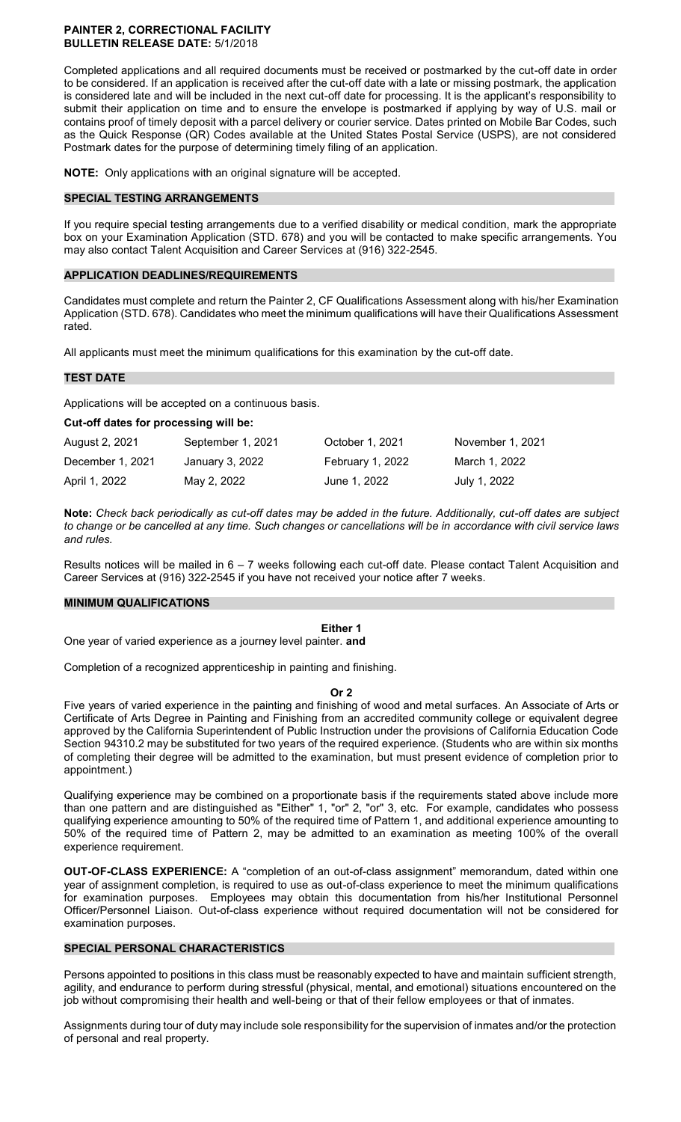#### **PAINTER 2, CORRECTIONAL FACILITY BULLETIN RELEASE DATE:** 5/1/2018

Completed applications and all required documents must be received or postmarked by the cut-off date in order to be considered. If an application is received after the cut-off date with a late or missing postmark, the application is considered late and will be included in the next cut-off date for processing. It is the applicant's responsibility to submit their application on time and to ensure the envelope is postmarked if applying by way of U.S. mail or contains proof of timely deposit with a parcel delivery or courier service. Dates printed on Mobile Bar Codes, such as the Quick Response (QR) Codes available at the United States Postal Service (USPS), are not considered Postmark dates for the purpose of determining timely filing of an application.

**NOTE:** Only applications with an original signature will be accepted.

#### **SPECIAL TESTING ARRANGEMENTS**

If you require special testing arrangements due to a verified disability or medical condition, mark the appropriate box on your Examination Application (STD. 678) and you will be contacted to make specific arrangements. You may also contact Talent Acquisition and Career Services at (916) 322-2545.

#### **APPLICATION DEADLINES/REQUIREMENTS**

Candidates must complete and return the Painter 2, CF Qualifications Assessment along with his/her Examination Application (STD. 678). Candidates who meet the minimum qualifications will have their Qualifications Assessment rated.

All applicants must meet the minimum qualifications for this examination by the cut-off date.

#### **TEST DATE**

Applications will be accepted on a continuous basis.

**Cut-off dates for processing will be:** 

| August 2, 2021   | September 1, 2021 | October 1, 2021  | November 1, 2021 |
|------------------|-------------------|------------------|------------------|
| December 1, 2021 | January 3, 2022   | February 1, 2022 | March 1. 2022    |
| April 1, 2022    | May 2, 2022       | June 1, 2022     | July 1, 2022     |

**Note:** *Check back periodically as cut-off dates may be added in the future. Additionally, cut-off dates are subject to change or be cancelled at any time. Such changes or cancellations will be in accordance with civil service laws and rules.* 

Results notices will be mailed in 6 – 7 weeks following each cut-off date. Please contact Talent Acquisition and Career Services at (916) 322-2545 if you have not received your notice after 7 weeks.

#### **MINIMUM QUALIFICATIONS**

**Either 1** 

One year of varied experience as a journey level painter. **and** 

Completion of a recognized apprenticeship in painting and finishing.

**Or 2** 

Five years of varied experience in the painting and finishing of wood and metal surfaces. An Associate of Arts or Certificate of Arts Degree in Painting and Finishing from an accredited community college or equivalent degree approved by the California Superintendent of Public Instruction under the provisions of California Education Code Section 94310.2 may be substituted for two years of the required experience. (Students who are within six months of completing their degree will be admitted to the examination, but must present evidence of completion prior to appointment.)

Qualifying experience may be combined on a proportionate basis if the requirements stated above include more than one pattern and are distinguished as "Either" 1, "or" 2, "or" 3, etc. For example, candidates who possess qualifying experience amounting to 50% of the required time of Pattern 1, and additional experience amounting to 50% of the required time of Pattern 2, may be admitted to an examination as meeting 100% of the overall experience requirement.

**OUT-OF-CLASS EXPERIENCE:** A "completion of an out-of-class assignment" memorandum, dated within one year of assignment completion, is required to use as out-of-class experience to meet the minimum qualifications for examination purposes. Employees may obtain this documentation from his/her Institutional Personnel Officer/Personnel Liaison. Out-of-class experience without required documentation will not be considered for examination purposes.

#### **SPECIAL PERSONAL CHARACTERISTICS**

Persons appointed to positions in this class must be reasonably expected to have and maintain sufficient strength, agility, and endurance to perform during stressful (physical, mental, and emotional) situations encountered on the job without compromising their health and well-being or that of their fellow employees or that of inmates.

Assignments during tour of duty may include sole responsibility for the supervision of inmates and/or the protection of personal and real property.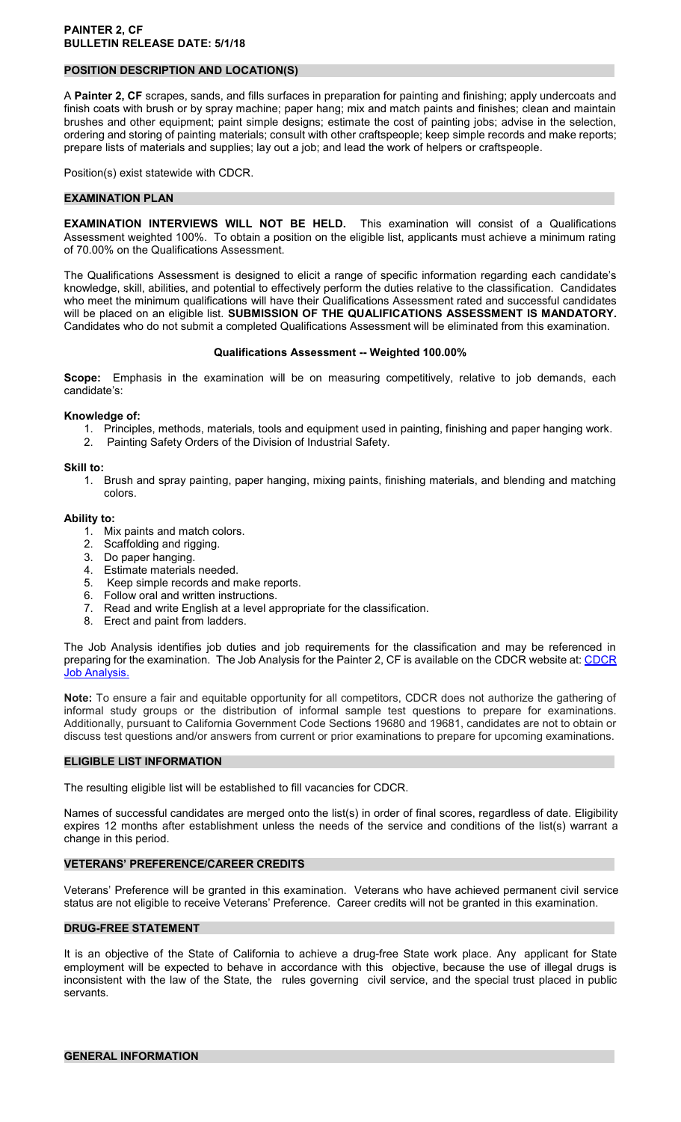# **POSITION DESCRIPTION AND LOCATION(S)**

A **Painter 2, CF** scrapes, sands, and fills surfaces in preparation for painting and finishing; apply undercoats and finish coats with brush or by spray machine; paper hang; mix and match paints and finishes; clean and maintain brushes and other equipment; paint simple designs; estimate the cost of painting jobs; advise in the selection, ordering and storing of painting materials; consult with other craftspeople; keep simple records and make reports; prepare lists of materials and supplies; lay out a job; and lead the work of helpers or craftspeople.

Position(s) exist statewide with CDCR.

#### **EXAMINATION PLAN**

**EXAMINATION INTERVIEWS WILL NOT BE HELD.** This examination will consist of a Qualifications Assessment weighted 100%. To obtain a position on the eligible list, applicants must achieve a minimum rating of 70.00% on the Qualifications Assessment.

The Qualifications Assessment is designed to elicit a range of specific information regarding each candidate's knowledge, skill, abilities, and potential to effectively perform the duties relative to the classification. Candidates who meet the minimum qualifications will have their Qualifications Assessment rated and successful candidates will be placed on an eligible list. **SUBMISSION OF THE QUALIFICATIONS ASSESSMENT IS MANDATORY.**  Candidates who do not submit a completed Qualifications Assessment will be eliminated from this examination.

#### **Qualifications Assessment -- Weighted 100.00%**

**Scope:** Emphasis in the examination will be on measuring competitively, relative to job demands, each candidate's:

#### **Knowledge of:**

1. Principles, methods, materials, tools and equipment used in painting, finishing and paper hanging work. 2. Painting Safety Orders of the Division of Industrial Safety.

# **Skill to:**

1. Brush and spray painting, paper hanging, mixing paints, finishing materials, and blending and matching colors.

#### **Ability to:**

- 1. Mix paints and match colors.
- 2. Scaffolding and rigging.
- 3. Do paper hanging.
- 4. Estimate materials needed.
- 5. Keep simple records and make reports.
- 6. Follow oral and written instructions.
- 7. Read and write English at a level appropriate for the classification.
- 8. Erect and paint from ladders.

The Job Analysis identifies job duties and job requirements for the classification and may be referenced in preparing for the examination. The Job Analysis for the Painter 2, CF is available on the CDCR website at: CDCR **[Job Analysis.](https://www.cdcr.ca.gov/Career_Opportunities/HR/OPS/Exams/Analysis/index.html)** 

**Note:** To ensure a fair and equitable opportunity for all competitors, CDCR does not authorize the gathering of informal study groups or the distribution of informal sample test questions to prepare for examinations. Additionally, pursuant to California Government Code Sections 19680 and 19681, candidates are not to obtain or discuss test questions and/or answers from current or prior examinations to prepare for upcoming examinations.

#### **ELIGIBLE LIST INFORMATION**

The resulting eligible list will be established to fill vacancies for CDCR.

Names of successful candidates are merged onto the list(s) in order of final scores, regardless of date. Eligibility expires 12 months after establishment unless the needs of the service and conditions of the list(s) warrant a change in this period.

# **VETERANS' PREFERENCE/CAREER CREDITS**

Veterans' Preference will be granted in this examination. Veterans who have achieved permanent civil service status are not eligible to receive Veterans' Preference. Career credits will not be granted in this examination.

# **DRUG-FREE STATEMENT**

It is an objective of the State of California to achieve a drug-free State work place. Any applicant for State employment will be expected to behave in accordance with this objective, because the use of illegal drugs is inconsistent with the law of the State, the rules governing civil service, and the special trust placed in public servants.